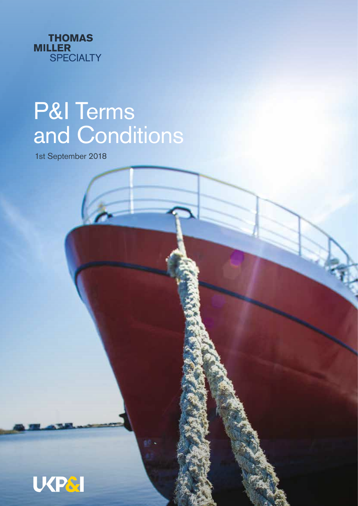

# P&I Terms and Conditions

1st September 2018

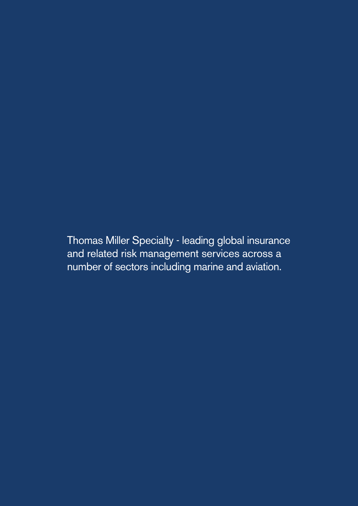Thomas Miller Specialty - leading global insurance and related risk management services across a number of sectors including marine and aviation.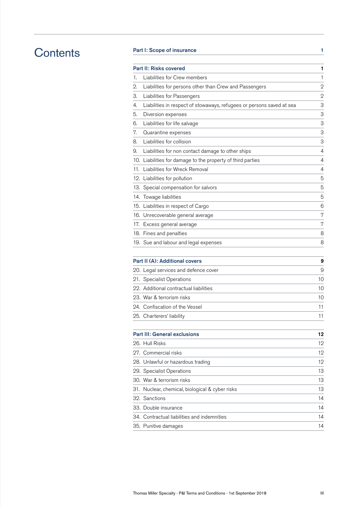# **Contents**

# Part I: Scope of insurance 1

|     | <b>Part II: Risks covered</b>                                         | 1              |
|-----|-----------------------------------------------------------------------|----------------|
| 1.  | Liabilities for Crew members                                          | 1              |
| 2.  | Liabilities for persons other than Crew and Passengers                | $\overline{2}$ |
| З.  | Liabilities for Passengers                                            | $\overline{2}$ |
| 4.  | Liabilities in respect of stowaways, refugees or persons saved at sea | 3              |
| 5.  | Diversion expenses                                                    | З              |
| 6.  | Liabilities for life salvage                                          | 3              |
| 7.  | Quarantine expenses                                                   | 3              |
| 8.  | Liabilities for collision                                             | 3              |
| 9.  | Liabilities for non contact damage to other ships                     | 4              |
|     | 10. Liabilities for damage to the property of third parties           | 4              |
|     | 11. Liabilities for Wreck Removal                                     | 4              |
|     | 12. Liabilities for pollution                                         | 5              |
|     | 13. Special compensation for salvors                                  | 5              |
|     | 14. Towage liabilities                                                | 5              |
|     | 15. Liabilities in respect of Cargo                                   | 6              |
|     | 16. Unrecoverable general average                                     | 7              |
|     | 17. Excess general average                                            | 7              |
|     | 18. Fines and penalties                                               | 8              |
|     | 19. Sue and labour and legal expenses                                 | 8              |
|     | Part II (A): Additional covers                                        | 9              |
|     | 20. Legal services and defence cover                                  | 9              |
|     | 21. Specialist Operations                                             | 10             |
|     | 22. Additional contractual liabilities                                | 10             |
|     | 23. War & terrorism risks                                             | 10             |
|     | 24. Confiscation of the Vessel                                        | 11             |
|     | 25. Charterers' liability                                             | 11             |
|     | <b>Part III: General exclusions</b>                                   | 12             |
|     | 26. Hull Risks                                                        | 12             |
|     | 27. Commercial risks                                                  | 12             |
|     | 28. Unlawful or hazardous trading                                     | 12             |
|     | 29. Specialist Operations                                             | 13             |
|     | 30. War & terrorism risks                                             | 13             |
| 31. | Nuclear, chemical, biological & cyber risks                           | 13             |
|     | 32. Sanctions                                                         | 14             |
|     | 33. Double insurance                                                  | 14             |
|     |                                                                       |                |

34. Contractual liabilities and indemnities 14 35. Punitive damages 14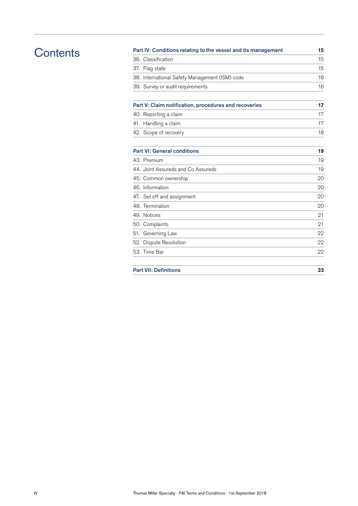# **Contents**

| Part IV: Conditions relating to the vessel and its management |    |  |  |
|---------------------------------------------------------------|----|--|--|
| 36. Classification                                            | 15 |  |  |
| 37. Flag state                                                | 15 |  |  |
| 38. International Safety Management (ISM) code                | 16 |  |  |
| 39. Survey or audit requirements                              | 16 |  |  |
| Part V: Claim notification, procedures and recoveries         | 17 |  |  |
| 40. Reporting a claim                                         | 17 |  |  |
| 41. Handling a claim                                          | 17 |  |  |
| 42. Scope of recovery                                         | 18 |  |  |
| <b>Part VI: General conditions</b>                            | 19 |  |  |
| 43. Premium                                                   | 19 |  |  |
| 44. Joint Assureds and Co Assureds                            | 19 |  |  |
| 45. Common ownership                                          | 20 |  |  |
| 46. Information                                               | 20 |  |  |
| 47. Set off and assignment                                    | 20 |  |  |
| 48. Termination                                               | 20 |  |  |
| 49. Notices                                                   | 21 |  |  |
| 50. Complaints                                                | 21 |  |  |
| 51. Governing Law                                             | 22 |  |  |
| 52. Dispute Resolution                                        | 22 |  |  |
| 53. Time Bar                                                  | 22 |  |  |
| <b>Part VII: Definitions</b>                                  |    |  |  |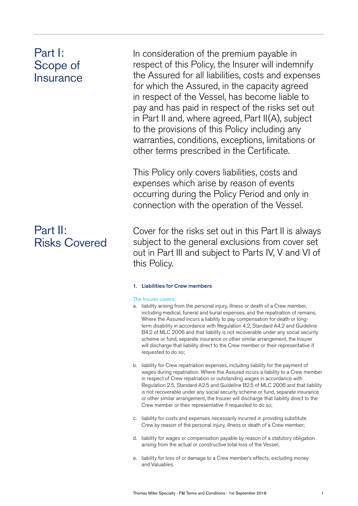# Part I: Scope of **Insurance**

# Part II: Risks Covered

In consideration of the premium payable in respect of this Policy, the Insurer will indemnify the Assured for all liabilities, costs and expenses for which the Assured, in the capacity agreed in respect of the Vessel, has become liable to pay and has paid in respect of the risks set out in Part II and, where agreed, Part II(A), subject to the provisions of this Policy including any warranties, conditions, exceptions, limitations or other terms prescribed in the Certificate.

This Policy only covers liabilities, costs and expenses which arise by reason of events occurring during the Policy Period and only in connection with the operation of the Vessel.

Cover for the risks set out in this Part II is always subject to the general exclusions from cover set out in Part III and subject to Parts IV, V and VI of this Policy.

# 1. Liabilities for Crew members

### The Insurer covers:

- a. liability arising from the personal injury, illness or death of a Crew member, including medical, funeral and burial expenses, and the repatriation of remains. Where the Assured incurs a liability to pay compensation for death or longterm disability in accordance with Regulation 4.2, Standard A4.2 and Guideline B4.2 of MLC 2006 and that liability is not recoverable under any social security scheme or fund, separate insurance or other similar arrangement, the Insurer will discharge that liability direct to the Crew member or their representative if requested to do so;
- b. liability for Crew repatriation expenses, including liability for the payment of wages during repatriation. Where the Assured incurs a liability to a Crew member in respect of Crew repatriation or outstanding wages in accordance with Regulation 2.5, Standard A2.5 and Guideline B2.5 of MLC 2006 and that liability is not recoverable under any social security scheme or fund, separate insurance or other similar arrangement, the Insurer will discharge that liability direct to the Crew member or their representative if requested to do so;
- c. liability for costs and expenses necessarily incurred in providing substitute Crew by reason of the personal injury, illness or death of a Crew member;
- d. liability for wages or compensation payable by reason of a statutory obligation arising from the actual or constructive total loss of the Vessel;
- e. liability for loss of or damage to a Crew member's effects, excluding money and Valuables.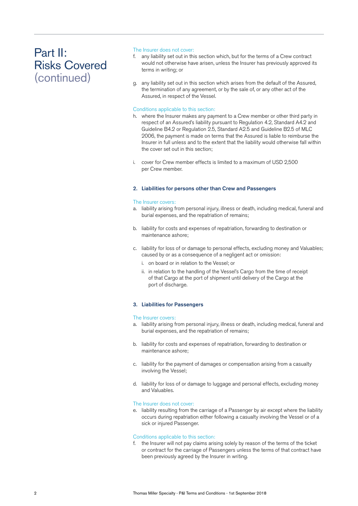### The Insurer does not cover:

- f. any liability set out in this section which, but for the terms of a Crew contract would not otherwise have arisen, unless the Insurer has previously approved its terms in writing; or
- g. any liability set out in this section which arises from the default of the Assured, the termination of any agreement, or by the sale of, or any other act of the Assured, in respect of the Vessel.

### Conditions applicable to this section:

- h. where the Insurer makes any payment to a Crew member or other third party in respect of an Assured's liability pursuant to Regulation 4.2, Standard A4.2 and Guideline B4.2 or Regulation 2.5, Standard A2.5 and Guideline B2.5 of MLC 2006, the payment is made on terms that the Assured is liable to reimburse the Insurer in full unless and to the extent that the liability would otherwise fall within the cover set out in this section;
- i. cover for Crew member effects is limited to a maximum of USD 2,500 per Crew member.

### 2. Liabilities for persons other than Crew and Passengers

#### The Insurer covers:

- a. liability arising from personal injury, illness or death, including medical, funeral and burial expenses, and the repatriation of remains;
- b. liability for costs and expenses of repatriation, forwarding to destination or maintenance ashore;
- c. liability for loss of or damage to personal effects, excluding money and Valuables; caused by or as a consequence of a negligent act or omission:
	- i. on board or in relation to the Vessel; or
	- ii. in relation to the handling of the Vessel's Cargo from the time of receipt of that Cargo at the port of shipment until delivery of the Cargo at the port of discharge.

# 3. Liabilities for Passengers

### The Insurer covers:

- a. liability arising from personal injury, illness or death, including medical, funeral and burial expenses, and the repatriation of remains;
- b. liability for costs and expenses of repatriation, forwarding to destination or maintenance ashore;
- c. liability for the payment of damages or compensation arising from a casualty involving the Vessel;
- d. liability for loss of or damage to luggage and personal effects, excluding money and Valuables.

### The Insurer does not cover:

e. liability resulting from the carriage of a Passenger by air except where the liability occurs during repatriation either following a casualty involving the Vessel or of a sick or injured Passenger.

### Conditions applicable to this section:

f. the Insurer will not pay claims arising solely by reason of the terms of the ticket or contract for the carriage of Passengers unless the terms of that contract have been previously agreed by the Insurer in writing.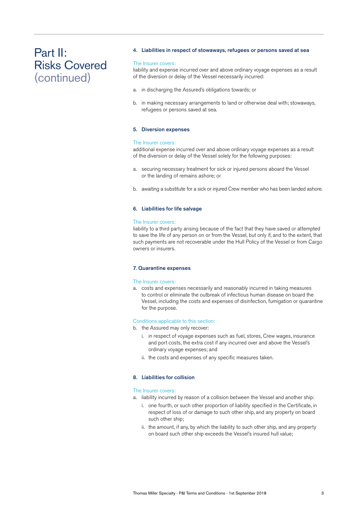#### 4. Liabilities in respect of stowaways, refugees or persons saved at sea

#### The Insurer covers:

liability and expense incurred over and above ordinary voyage expenses as a result of the diversion or delay of the Vessel necessarily incurred:

- a. in discharging the Assured's obligations towards; or
- b. in making necessary arrangements to land or otherwise deal with; stowaways, refugees or persons saved at sea.

#### 5. Diversion expenses

#### The Insurer covers:

additional expense incurred over and above ordinary voyage expenses as a result of the diversion or delay of the Vessel solely for the following purposes:

- a. securing necessary treatment for sick or injured persons aboard the Vessel or the landing of remains ashore; or
- b. awaiting a substitute for a sick or injured Crew member who has been landed ashore.

#### 6. Liabilities for life salvage

#### The Insurer covers:

liability to a third party arising because of the fact that they have saved or attempted to save the life of any person on or from the Vessel, but only if, and to the extent, that such payments are not recoverable under the Hull Policy of the Vessel or from Cargo owners or insurers.

#### 7. Quarantine expenses

#### The Insurer covers:

a. costs and expenses necessarily and reasonably incurred in taking measures to control or eliminate the outbreak of infectious human disease on board the Vessel, including the costs and expenses of disinfection, fumigation or quarantine for the purpose.

#### Conditions applicable to this section:

- b. the Assured may only recover:
	- i. in respect of voyage expenses such as fuel, stores, Crew wages, insurance and port costs, the extra cost if any incurred over and above the Vessel's ordinary voyage expenses; and
	- ii. the costs and expenses of any specific measures taken.

# 8. Liabilities for collision

#### The Insurer covers:

- a. liability incurred by reason of a collision between the Vessel and another ship:
	- i. one fourth, or such other proportion of liability specified in the Certificate, in respect of loss of or damage to such other ship, and any property on board such other ship;
	- ii. the amount, if any, by which the liability to such other ship, and any property on board such other ship exceeds the Vessel's insured hull value;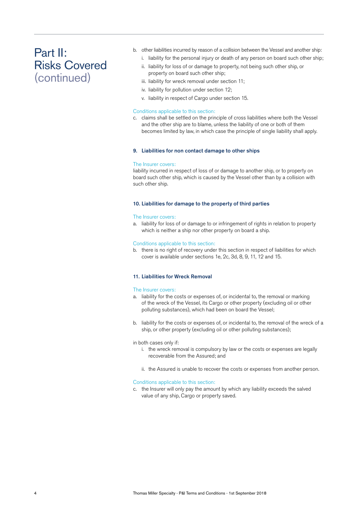- b. other liabilities incurred by reason of a collision between the Vessel and another ship:
	- i. liability for the personal injury or death of any person on board such other ship;
	- ii. liability for loss of or damage to property, not being such other ship, or property on board such other ship;
	- iii. liability for wreck removal under section 11;
	- iv. liability for pollution under section 12;
	- v. liability in respect of Cargo under section 15.

# Conditions applicable to this section:

c. claims shall be settled on the principle of cross liabilities where both the Vessel and the other ship are to blame, unless the liability of one or both of them becomes limited by law, in which case the principle of single liability shall apply.

### 9. Liabilities for non contact damage to other ships

### The Insurer covers:

liability incurred in respect of loss of or damage to another ship, or to property on board such other ship, which is caused by the Vessel other than by a collision with such other ship.

# 10. Liabilities for damage to the property of third parties

### The Insurer covers:

a. liability for loss of or damage to or infringement of rights in relation to property which is neither a ship nor other property on board a ship.

### Conditions applicable to this section:

b. there is no right of recovery under this section in respect of liabilities for which cover is available under sections 1e, 2c, 3d, 8, 9, 11, 12 and 15.

### 11. Liabilities for Wreck Removal

### The Insurer covers:

- a. liability for the costs or expenses of, or incidental to, the removal or marking of the wreck of the Vessel, its Cargo or other property (excluding oil or other polluting substances), which had been on board the Vessel;
- b. liability for the costs or expenses of, or incidental to, the removal of the wreck of a ship, or other property (excluding oil or other polluting substances);

### in both cases only if:

- i. the wreck removal is compulsory by law or the costs or expenses are legally recoverable from the Assured; and
- ii. the Assured is unable to recover the costs or expenses from another person.

### Conditions applicable to this section:

c. the Insurer will only pay the amount by which any liability exceeds the salved value of any ship, Cargo or property saved.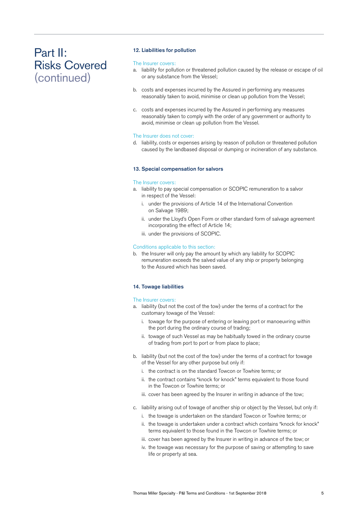# 12. Liabilities for pollution

#### The Insurer covers:

- a. liability for pollution or threatened pollution caused by the release or escape of oil or any substance from the Vessel;
- b. costs and expenses incurred by the Assured in performing any measures reasonably taken to avoid, minimise or clean up pollution from the Vessel;
- c. costs and expenses incurred by the Assured in performing any measures reasonably taken to comply with the order of any government or authority to avoid, minimise or clean up pollution from the Vessel.

### The Insurer does not cover:

d. liability, costs or expenses arising by reason of pollution or threatened pollution caused by the landbased disposal or dumping or incineration of any substance.

#### 13. Special compensation for salvors

#### The Insurer covers:

- a. liability to pay special compensation or SCOPIC remuneration to a salvor in respect of the Vessel:
	- i. under the provisions of Article 14 of the International Convention on Salvage 1989;
	- ii. under the Lloyd's Open Form or other standard form of salvage agreement incorporating the effect of Article 14;
	- iii. under the provisions of SCOPIC.

#### Conditions applicable to this section:

b. the Insurer will only pay the amount by which any liability for SCOPIC remuneration exceeds the salved value of any ship or property belonging to the Assured which has been saved.

# 14. Towage liabilities

#### The Insurer covers:

- a. liability (but not the cost of the tow) under the terms of a contract for the customary towage of the Vessel:
	- i. towage for the purpose of entering or leaving port or manoeuvring within the port during the ordinary course of trading;
	- ii. towage of such Vessel as may be habitually towed in the ordinary course of trading from port to port or from place to place;
- b. liability (but not the cost of the tow) under the terms of a contract for towage of the Vessel for any other purpose but only if:
	- i. the contract is on the standard Towcon or Towhire terms; or
	- ii. the contract contains "knock for knock" terms equivalent to those found in the Towcon or Towhire terms; or
	- iii. cover has been agreed by the Insurer in writing in advance of the tow;
- c. liability arising out of towage of another ship or object by the Vessel, but only if:
	- i. the towage is undertaken on the standard Towcon or Towhire terms; or
	- ii. the towage is undertaken under a contract which contains "knock for knock" terms equivalent to those found in the Towcon or Towhire terms; or
	- iii. cover has been agreed by the Insurer in writing in advance of the tow; or
	- iv. the towage was necessary for the purpose of saving or attempting to save life or property at sea.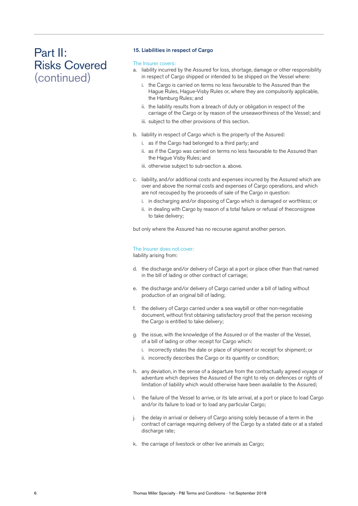### 15. Liabilities in respect of Cargo

### The Insurer covers:

- a. liability incurred by the Assured for loss, shortage, damage or other responsibility in respect of Cargo shipped or intended to be shipped on the Vessel where:
	- i. the Cargo is carried on terms no less favourable to the Assured than the Hague Rules, Hague-Visby Rules or, where they are compulsorily applicable, the Hamburg Rules; and
	- ii. the liability results from a breach of duty or obligation in respect of the carriage of the Cargo or by reason of the unseaworthiness of the Vessel; and
	- iii. subject to the other provisions of this section.
- b. liability in respect of Cargo which is the property of the Assured:
	- i. as if the Cargo had belonged to a third party; and
	- ii. as if the Cargo was carried on terms no less favourable to the Assured than the Hague Visby Rules; and
	- iii. otherwise subject to sub-section a. above.
- c. liability, and/or additional costs and expenses incurred by the Assured which are over and above the normal costs and expenses of Cargo operations, and which are not recouped by the proceeds of sale of the Cargo in question:
	- i. in discharging and/or disposing of Cargo which is damaged or worthless; or
	- ii. in dealing with Cargo by reason of a total failure or refusal of theconsignee to take delivery;

but only where the Assured has no recourse against another person.

# The Insurer does not cover:

liability arising from:

- d. the discharge and/or delivery of Cargo at a port or place other than that named in the bill of lading or other contract of carriage;
- e. the discharge and/or delivery of Cargo carried under a bill of lading without production of an original bill of lading;
- f. the delivery of Cargo carried under a sea waybill or other non-negotiable document, without first obtaining satisfactory proof that the person receiving the Cargo is entitled to take delivery;
- g. the issue, with the knowledge of the Assured or of the master of the Vessel, of a bill of lading or other receipt for Cargo which:
	- i. incorrectly states the date or place of shipment or receipt for shipment; or
	- ii. incorrectly describes the Cargo or its quantity or condition;
- h. any deviation, in the sense of a departure from the contractually agreed voyage or adventure which deprives the Assured of the right to rely on defences or rights of limitation of liability which would otherwise have been available to the Assured;
- i. the failure of the Vessel to arrive, or its late arrival, at a port or place to load Cargo and/or its failure to load or to load any particular Cargo;
- j. the delay in arrival or delivery of Cargo arising solely because of a term in the contract of carriage requiring delivery of the Cargo by a stated date or at a stated discharge rate;
- k. the carriage of livestock or other live animals as Cargo;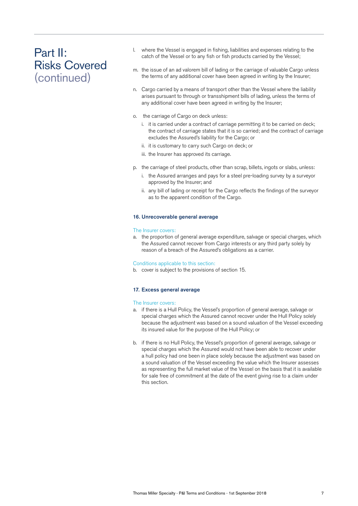- l. where the Vessel is engaged in fishing, liabilities and expenses relating to the catch of the Vessel or to any fish or fish products carried by the Vessel;
- m. the issue of an ad valorem bill of lading or the carriage of valuable Cargo unless the terms of any additional cover have been agreed in writing by the Insurer;
- n. Cargo carried by a means of transport other than the Vessel where the liability arises pursuant to through or transshipment bills of lading, unless the terms of any additional cover have been agreed in writing by the Insurer;
- o. the carriage of Cargo on deck unless:
	- i. it is carried under a contract of carriage permitting it to be carried on deck; the contract of carriage states that it is so carried; and the contract of carriage excludes the Assured's liability for the Cargo; or
	- ii. it is customary to carry such Cargo on deck; or
	- iii. the Insurer has approved its carriage.
- p. the carriage of steel products, other than scrap, billets, ingots or slabs, unless:
	- i. the Assured arranges and pays for a steel pre-loading survey by a surveyor approved by the Insurer; and
	- ii. any bill of lading or receipt for the Cargo reflects the findings of the surveyor as to the apparent condition of the Cargo.

#### 16. Unrecoverable general average

#### The Insurer covers:

a. the proportion of general average expenditure, salvage or special charges, which the Assured cannot recover from Cargo interests or any third party solely by reason of a breach of the Assured's obligations as a carrier.

Conditions applicable to this section:

b. cover is subject to the provisions of section 15.

#### 17. Excess general average

#### The Insurer covers:

- a. if there is a Hull Policy, the Vessel's proportion of general average, salvage or special charges which the Assured cannot recover under the Hull Policy solely because the adjustment was based on a sound valuation of the Vessel exceeding its insured value for the purpose of the Hull Policy; or
- b. if there is no Hull Policy, the Vessel's proportion of general average, salvage or special charges which the Assured would not have been able to recover under a hull policy had one been in place solely because the adjustment was based on a sound valuation of the Vessel exceeding the value which the Insurer assesses as representing the full market value of the Vessel on the basis that it is available for sale free of commitment at the date of the event giving rise to a claim under this section.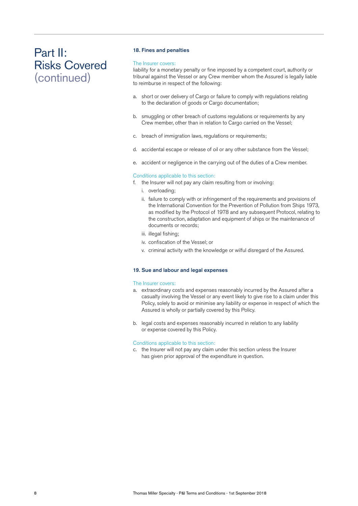# 18. Fines and penalties

### The Insurer covers:

liability for a monetary penalty or fine imposed by a competent court, authority or tribunal against the Vessel or any Crew member whom the Assured is legally liable to reimburse in respect of the following:

- a. short or over delivery of Cargo or failure to comply with regulations relating to the declaration of goods or Cargo documentation;
- b. smuggling or other breach of customs regulations or requirements by any Crew member, other than in relation to Cargo carried on the Vessel;
- c. breach of immigration laws, regulations or requirements;
- d. accidental escape or release of oil or any other substance from the Vessel;
- e. accident or negligence in the carrying out of the duties of a Crew member.

### Conditions applicable to this section:

- f. the Insurer will not pay any claim resulting from or involving:
	- i. overloading;
	- ii. failure to comply with or infringement of the requirements and provisions of the International Convention for the Prevention of Pollution from Ships 1973, as modified by the Protocol of 1978 and any subsequent Protocol, relating to the construction, adaptation and equipment of ships or the maintenance of documents or records;
	- iii. illegal fishing;
	- iv. confiscation of the Vessel; or
	- v. criminal activity with the knowledge or wilful disregard of the Assured.

### 19. Sue and labour and legal expenses

### The Insurer covers:

- a. extraordinary costs and expenses reasonably incurred by the Assured after a casualty involving the Vessel or any event likely to give rise to a claim under this Policy, solely to avoid or minimise any liability or expense in respect of which the Assured is wholly or partially covered by this Policy.
- b. legal costs and expenses reasonably incurred in relation to any liability or expense covered by this Policy.

### Conditions applicable to this section:

c. the Insurer will not pay any claim under this section unless the Insurer has given prior approval of the expenditure in question.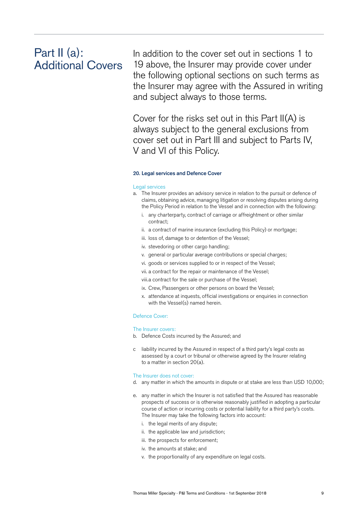# Part II (a): Additional Covers

In addition to the cover set out in sections 1 to 19 above, the Insurer may provide cover under the following optional sections on such terms as the Insurer may agree with the Assured in writing and subject always to those terms.

Cover for the risks set out in this Part II(A) is always subject to the general exclusions from cover set out in Part III and subject to Parts IV, V and VI of this Policy.

#### 20. Legal services and Defence Cover

#### Legal services

- a. The Insurer provides an advisory service in relation to the pursuit or defence of claims, obtaining advice, managing litigation or resolving disputes arising during the Policy Period in relation to the Vessel and in connection with the following:
	- i. any charterparty, contract of carriage or affreightment or other similar contract;
	- ii. a contract of marine insurance (excluding this Policy) or mortgage;
	- iii. loss of, damage to or detention of the Vessel;
	- iv. stevedoring or other cargo handling;
	- v. general or particular average contributions or special charges;
	- vi. goods or services supplied to or in respect of the Vessel;
	- vii. a contract for the repair or maintenance of the Vessel;
	- viii. a contract for the sale or purchase of the Vessel;
	- ix. Crew, Passengers or other persons on board the Vessel;
	- x. attendance at inquests, official investigations or enquiries in connection with the Vessel(s) named herein.

# Defence Cover:

#### The Insurer covers:

- b. Defence Costs incurred by the Assured; and
- c liability incurred by the Assured in respect of a third party's legal costs as assessed by a court or tribunal or otherwise agreed by the Insurer relating to a matter in section 20(a).

#### The Insurer does not cover:

- d. any matter in which the amounts in dispute or at stake are less than USD 10,000;
- e. any matter in which the Insurer is not satisfied that the Assured has reasonable prospects of success or is otherwise reasonably justified in adopting a particular course of action or incurring costs or potential liability for a third party's costs. The Insurer may take the following factors into account:
	- i. the legal merits of any dispute;
	- ii. the applicable law and jurisdiction;
	- iii. the prospects for enforcement;
	- iv. the amounts at stake; and
	- v. the proportionality of any expenditure on legal costs.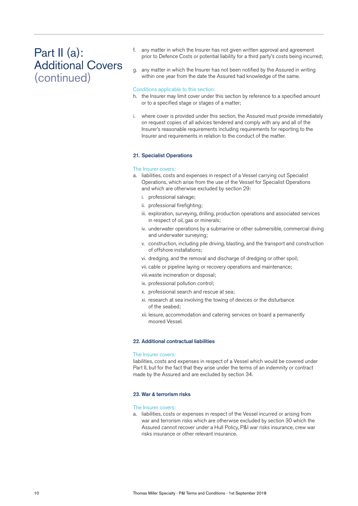# Part II (a): Additional Covers (continued)

- f. any matter in which the Insurer has not given written approval and agreement prior to Defence Costs or potential liability for a third party's costs being incurred;
- g. any matter in which the Insurer has not been notified by the Assured in writing within one year from the date the Assured had knowledge of the same.

#### Conditions applicable to this section:

- h. the Insurer may limit cover under this section by reference to a specified amount or to a specified stage or stages of a matter;
- i. where cover is provided under this section, the Assured must provide immediately on request copies of all advices tendered and comply with any and all of the Insurer's reasonable requirements including requirements for reporting to the Insurer and requirements in relation to the conduct of the matter.

#### 21. Specialist Operations

#### The Insurer covers:

- a. liabilities, costs and expenses in respect of a Vessel carrying out Specialist Operations, which arise from the use of the Vessel for Specialist Operations and which are otherwise excluded by section 29:
	- i. professional salvage;
	- ii. professional firefighting;
	- iii. exploration, surveying, drilling, production operations and associated services in respect of oil, gas or minerals;
	- iv. underwater operations by a submarine or other submersible, commercial diving and underwater surveying;
	- v. construction, including pile driving, blasting, and the transport and construction of offshore installations;
	- vi. dredging, and the removal and discharge of dredging or other spoil;
	- vii. cable or pipeline laying or recovery operations and maintenance;
	- viii. waste incineration or disposal;
	- ix. professional pollution control;
	- x. professional search and rescue at sea;
	- xi. research at sea involving the towing of devices or the disturbance of the seabed;
	- xii. leisure, accommodation and catering services on board a permanently moored Vessel.

#### 22. Additional contractual liabilities

#### The Insurer covers:

liabilities, costs and expenses in respect of a Vessel which would be covered under Part II, but for the fact that they arise under the terms of an indemnity or contract made by the Assured and are excluded by section 34.

#### 23. War & terrorism risks

#### The Insurer covers:

a. liabilities, costs or expenses in respect of the Vessel incurred or arising from war and terrorism risks which are otherwise excluded by section 30 which the Assured cannot recover under a Hull Policy, P&I war risks insurance, crew war risks insurance or other relevant insurance.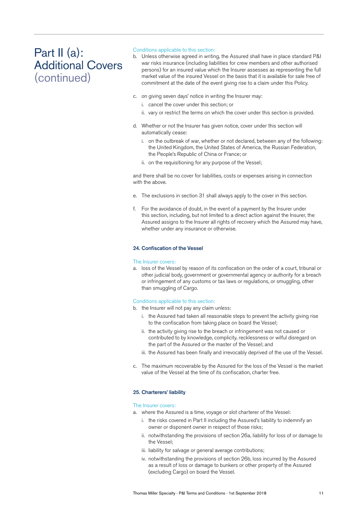# Part II (a): Additional Covers (continued)

### Conditions applicable to this section:

- b. Unless otherwise agreed in writing, the Assured shall have in place standard P&I war risks insurance (including liabilities for crew members and other authorised persons) for an insured value which the Insurer assesses as representing the full market value of the insured Vessel on the basis that it is available for sale free of commitment at the date of the event giving rise to a claim under this Policy.
- c. on giving seven days' notice in writing the Insurer may:
	- i. cancel the cover under this section; or
	- ii. vary or restrict the terms on which the cover under this section is provided.
- d. Whether or not the Insurer has given notice, cover under this section will automatically cease:
	- i. on the outbreak of war, whether or not declared, between any of the following: the United Kingdom, the United States of America, the Russian Federation, the People's Republic of China or France; or
	- ii. on the requisitioning for any purpose of the Vessel;

and there shall be no cover for liabilities, costs or expenses arising in connection with the above.

- e. The exclusions in section 31 shall always apply to the cover in this section.
- f. For the avoidance of doubt, in the event of a payment by the Insurer under this section, including, but not limited to a direct action against the Insurer, the Assured assigns to the Insurer all rights of recovery which the Assured may have, whether under any insurance or otherwise.

### 24. Confiscation of the Vessel

#### The Insurer covers:

a. loss of the Vessel by reason of its confiscation on the order of a court, tribunal or other judicial body, government or governmental agency or authority for a breach or infringement of any customs or tax laws or regulations, or smuggling, other than smuggling of Cargo.

#### Conditions applicable to this section:

- b. the Insurer will not pay any claim unless:
	- i. the Assured had taken all reasonable steps to prevent the activity giving rise to the confiscation from taking place on board the Vessel;
	- ii. the activity giving rise to the breach or infringement was not caused or contributed to by knowledge, complicity, recklessness or wilful disregard on the part of the Assured or the master of the Vessel; and
	- iii. the Assured has been finally and irrevocably deprived of the use of the Vessel.
- c. The maximum recoverable by the Assured for the loss of the Vessel is the market value of the Vessel at the time of its confiscation, charter free.

#### 25. Charterers' liability

#### The Insurer covers:

- a. where the Assured is a time, voyage or slot charterer of the Vessel:
	- i. the risks covered in Part II including the Assured's liability to indemnify an owner or disponent owner in respect of those risks;
	- ii. notwithstanding the provisions of section 26a, liability for loss of or damage to the Vessel;
	- iii. liability for salvage or general average contributions;
	- iv. notwithstanding the provisions of section 26b, loss incurred by the Assured as a result of loss or damage to bunkers or other property of the Assured (excluding Cargo) on board the Vessel.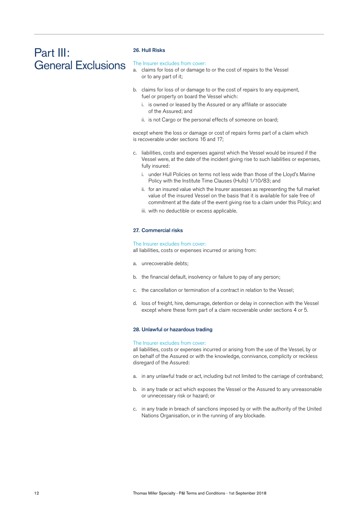# Part III: General Exclusions

# 26. Hull Risks

#### The Insurer excludes from cover:

- a. claims for loss of or damage to or the cost of repairs to the Vessel or to any part of it;
- b. claims for loss of or damage to or the cost of repairs to any equipment. fuel or property on board the Vessel which:
	- i. is owned or leased by the Assured or any affiliate or associate of the Assured; and
	- ii. is not Cargo or the personal effects of someone on board;

except where the loss or damage or cost of repairs forms part of a claim which is recoverable under sections 16 and 17;

- c. liabilities, costs and expenses against which the Vessel would be insured if the Vessel were, at the date of the incident giving rise to such liabilities or expenses, fully insured:
	- i. under Hull Policies on terms not less wide than those of the Lloyd's Marine Policy with the Institute Time Clauses (Hulls) 1/10/83; and
	- ii. for an insured value which the Insurer assesses as representing the full market value of the insured Vessel on the basis that it is available for sale free of commitment at the date of the event giving rise to a claim under this Policy; and
	- iii. with no deductible or excess applicable.

#### 27. Commercial risks

#### The Insurer excludes from cover:

all liabilities, costs or expenses incurred or arising from:

- a. unrecoverable debts;
- b. the financial default, insolvency or failure to pay of any person;
- c. the cancellation or termination of a contract in relation to the Vessel;
- d. loss of freight, hire, demurrage, detention or delay in connection with the Vessel except where these form part of a claim recoverable under sections 4 or 5.

#### 28. Unlawful or hazardous trading

#### The Insurer excludes from cover:

all liabilities, costs or expenses incurred or arising from the use of the Vessel, by or on behalf of the Assured or with the knowledge, connivance, complicity or reckless disregard of the Assured:

- a. in any unlawful trade or act, including but not limited to the carriage of contraband;
- b. in any trade or act which exposes the Vessel or the Assured to any unreasonable or unnecessary risk or hazard; or
- c. in any trade in breach of sanctions imposed by or with the authority of the United Nations Organisation, or in the running of any blockade.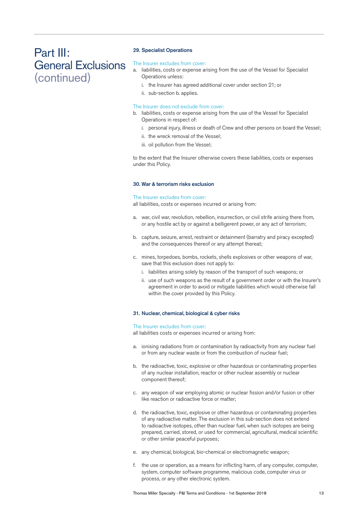# Part III: General Exclusions (continued)

### 29. Specialist Operations

#### The Insurer excludes from cover:

- a. liabilities, costs or expense arising from the use of the Vessel for Specialist Operations unless:
	- i. the Insurer has agreed additional cover under section 21; or
	- ii. sub-section b. applies.

#### The Insurer does not exclude from cover:

- b. liabilities, costs or expense arising from the use of the Vessel for Specialist Operations in respect of:
	- i. personal injury, illness or death of Crew and other persons on board the Vessel;
	- ii. the wreck removal of the Vessel;
	- iii. oil pollution from the Vessel;

to the extent that the Insurer otherwise covers these liabilities, costs or expenses under this Policy.

#### 30. War & terrorism risks exclusion

#### The Insurer excludes from cover:

all liabilities, costs or expenses incurred or arising from:

- a. war, civil war, revolution, rebellion, insurrection, or civil strife arising there from, or any hostile act by or against a belligerent power, or any act of terrorism;
- b. capture, seizure, arrest, restraint or detainment (barratry and piracy excepted) and the consequences thereof or any attempt thereat;
- c. mines, torpedoes, bombs, rockets, shells explosives or other weapons of war, save that this exclusion does not apply to:
	- i. liabilities arising solely by reason of the transport of such weapons; or
	- ii. use of such weapons as the result of a government order or with the Insurer's agreement in order to avoid or mitigate liabilities which would otherwise fall within the cover provided by this Policy.

#### 31. Nuclear, chemical, biological & cyber risks

#### The Insurer excludes from cover:

all liabilities costs or expenses incurred or arising from:

- a. ionising radiations from or contamination by radioactivity from any nuclear fuel or from any nuclear waste or from the combustion of nuclear fuel;
- b. the radioactive, toxic, explosive or other hazardous or contaminating properties of any nuclear installation, reactor or other nuclear assembly or nuclear component thereof;
- c. any weapon of war employing atomic or nuclear fission and/or fusion or other like reaction or radioactive force or matter;
- d. the radioactive, toxic, explosive or other hazardous or contaminating properties of any radioactive matter. The exclusion in this sub-section does not extend to radioactive isotopes, other than nuclear fuel, when such isotopes are being prepared, carried, stored, or used for commercial, agricultural, medical scientific or other similar peaceful purposes;
- e. any chemical, biological, bio-chemical or electromagnetic weapon;
- f. the use or operation, as a means for inflicting harm, of any computer, computer, system, computer software programme, malicious code, computer virus or process, or any other electronic system.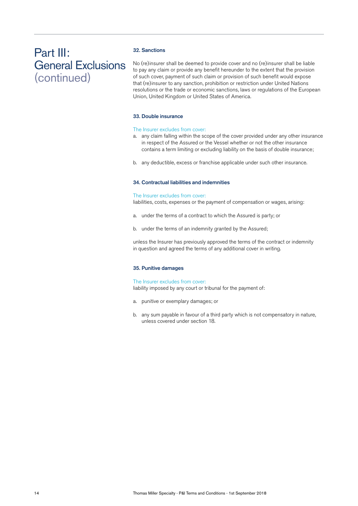# Part III: General Exclusions (continued)

# 32. Sanctions

No (re)insurer shall be deemed to provide cover and no (re)insurer shall be liable to pay any claim or provide any benefit hereunder to the extent that the provision of such cover, payment of such claim or provision of such benefit would expose that (re)insurer to any sanction, prohibition or restriction under United Nations resolutions or the trade or economic sanctions, laws or regulations of the European Union, United Kingdom or United States of America.

### 33. Double insurance

#### The Insurer excludes from cover:

- a. any claim falling within the scope of the cover provided under any other insurance in respect of the Assured or the Vessel whether or not the other insurance contains a term limiting or excluding liability on the basis of double insurance;
- b. any deductible, excess or franchise applicable under such other insurance.

### 34. Contractual liabilities and indemnities

#### The Insurer excludes from cover:

liabilities, costs, expenses or the payment of compensation or wages, arising:

- a. under the terms of a contract to which the Assured is party; or
- b. under the terms of an indemnity granted by the Assured;

unless the Insurer has previously approved the terms of the contract or indemnity in question and agreed the terms of any additional cover in writing.

#### 35. Punitive damages

The Insurer excludes from cover: liability imposed by any court or tribunal for the payment of:

- a. punitive or exemplary damages; or
- b. any sum payable in favour of a third party which is not compensatory in nature, unless covered under section 18.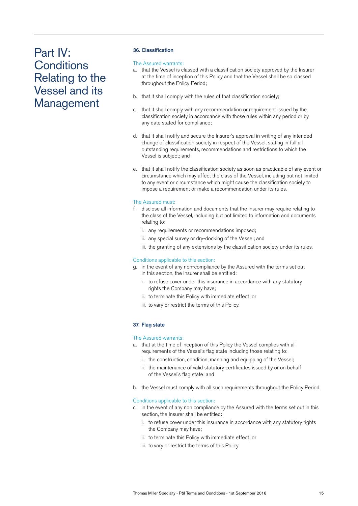# Part IV: **Conditions** Relating to the Vessel and its Management

# 36. Classification

### The Assured warrants:

- a. that the Vessel is classed with a classification society approved by the Insurer at the time of inception of this Policy and that the Vessel shall be so classed throughout the Policy Period;
- b. that it shall comply with the rules of that classification society;
- c. that it shall comply with any recommendation or requirement issued by the classification society in accordance with those rules within any period or by any date stated for compliance;
- d. that it shall notify and secure the Insurer's approval in writing of any intended change of classification society in respect of the Vessel, stating in full all outstanding requirements, recommendations and restrictions to which the Vessel is subject; and
- e. that it shall notify the classification society as soon as practicable of any event or circumstance which may affect the class of the Vessel, including but not limited to any event or circumstance which might cause the classification society to impose a requirement or make a recommendation under its rules.

# The Assured must:

- f. disclose all information and documents that the Insurer may require relating to the class of the Vessel, including but not limited to information and documents relating to:
	- i. any requirements or recommendations imposed;
	- ii. any special survey or dry-docking of the Vessel; and
	- iii. the granting of any extensions by the classification society under its rules.

# Conditions applicable to this section:

- g. in the event of any non-compliance by the Assured with the terms set out in this section, the Insurer shall be entitled:
	- i. to refuse cover under this insurance in accordance with any statutory rights the Company may have;
	- ii. to terminate this Policy with immediate effect; or
	- iii. to vary or restrict the terms of this Policy.

# 37. Flag state

### The Assured warrants:

- a. that at the time of inception of this Policy the Vessel complies with all requirements of the Vessel's flag state including those relating to:
	- i. the construction, condition, manning and equipping of the Vessel;
	- ii. the maintenance of valid statutory certificates issued by or on behalf of the Vessel's flag state; and
- b. the Vessel must comply with all such requirements throughout the Policy Period.

### Conditions applicable to this section:

- c. in the event of any non compliance by the Assured with the terms set out in this section, the Insurer shall be entitled:
	- i. to refuse cover under this insurance in accordance with any statutory rights the Company may have;
	- ii. to terminate this Policy with immediate effect; or
	- iii. to vary or restrict the terms of this Policy.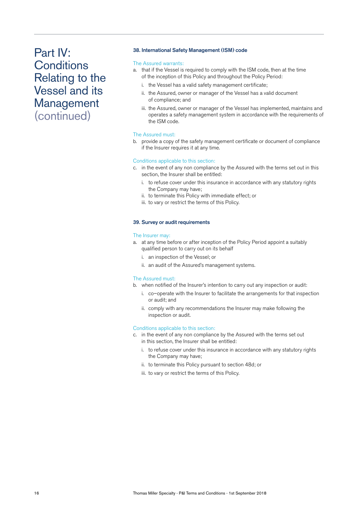# Part IV: **Conditions** Relating to the Vessel and its Management (continued)

# 38. International Safety Management (ISM) code

### The Assured warrants:

- a. that if the Vessel is required to comply with the ISM code, then at the time of the inception of this Policy and throughout the Policy Period:
	- i. the Vessel has a valid safety management certificate;
	- ii. the Assured, owner or manager of the Vessel has a valid document of compliance; and
	- iii. the Assured, owner or manager of the Vessel has implemented, maintains and operates a safety management system in accordance with the requirements of the ISM code.

#### The Assured must:

b. provide a copy of the safety management certificate or document of compliance if the Insurer requires it at any time.

# Conditions applicable to this section:

- c. in the event of any non compliance by the Assured with the terms set out in this section, the Insurer shall be entitled:
	- i. to refuse cover under this insurance in accordance with any statutory rights the Company may have;
	- ii. to terminate this Policy with immediate effect; or
	- iii. to vary or restrict the terms of this Policy.

#### 39. Survey or audit requirements

#### The Insurer may:

- a. at any time before or after inception of the Policy Period appoint a suitably qualified person to carry out on its behalf
	- i. an inspection of the Vessel; or
	- ii. an audit of the Assured's management systems.

#### The Assured must:

- b. when notified of the Insurer's intention to carry out any inspection or audit:
	- i. co–operate with the Insurer to facilitate the arrangements for that inspection or audit; and
	- ii. comply with any recommendations the Insurer may make following the inspection or audit.

### Conditions applicable to this section:

- c. in the event of any non compliance by the Assured with the terms set out in this section, the Insurer shall be entitled:
	- i. to refuse cover under this insurance in accordance with any statutory rights the Company may have;
	- ii. to terminate this Policy pursuant to section 48d; or
	- iii. to vary or restrict the terms of this Policy.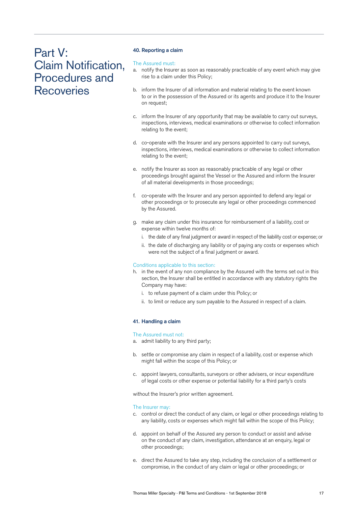# Part V: Claim Notification, Procedures and **Recoveries**

### 40. Reporting a claim

#### The Assured must:

- a. notify the Insurer as soon as reasonably practicable of any event which may give rise to a claim under this Policy;
- b. inform the Insurer of all information and material relating to the event known to or in the possession of the Assured or its agents and produce it to the Insurer on request;
- c. inform the Insurer of any opportunity that may be available to carry out surveys, inspections, interviews, medical examinations or otherwise to collect information relating to the event;
- d. co-operate with the Insurer and any persons appointed to carry out surveys, inspections, interviews, medical examinations or otherwise to collect information relating to the event;
- e. notify the Insurer as soon as reasonably practicable of any legal or other proceedings brought against the Vessel or the Assured and inform the Insurer of all material developments in those proceedings;
- f. co-operate with the Insurer and any person appointed to defend any legal or other proceedings or to prosecute any legal or other proceedings commenced by the Assured.
- g. make any claim under this insurance for reimbursement of a liability, cost or expense within twelve months of:
	- i. the date of any final judgment or award in respect of the liability cost or expense; or
	- ii. the date of discharging any liability or of paying any costs or expenses which were not the subject of a final judgment or award.

### Conditions applicable to this section:

- h. in the event of any non compliance by the Assured with the terms set out in this section, the Insurer shall be entitled in accordance with any statutory rights the Company may have:
	- i. to refuse payment of a claim under this Policy; or
	- ii. to limit or reduce any sum payable to the Assured in respect of a claim.

### 41. Handling a claim

# The Assured must not:

- a. admit liability to any third party;
- b. settle or compromise any claim in respect of a liability, cost or expense which might fall within the scope of this Policy; or
- c. appoint lawyers, consultants, surveyors or other advisers, or incur expenditure of legal costs or other expense or potential liability for a third party's costs

without the Insurer's prior written agreement.

#### The Insurer may:

- c. control or direct the conduct of any claim, or legal or other proceedings relating to any liability, costs or expenses which might fall within the scope of this Policy;
- d. appoint on behalf of the Assured any person to conduct or assist and advise on the conduct of any claim, investigation, attendance at an enquiry, legal or other proceedings;
- e. direct the Assured to take any step, including the conclusion of a settlement or compromise, in the conduct of any claim or legal or other proceedings; or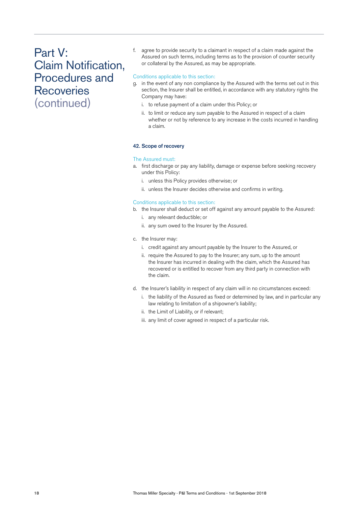# Part V: Claim Notification, Procedures and **Recoveries** (continued)

f. agree to provide security to a claimant in respect of a claim made against the Assured on such terms, including terms as to the provision of counter security or collateral by the Assured, as may be appropriate.

# Conditions applicable to this section:

- g. in the event of any non compliance by the Assured with the terms set out in this section, the Insurer shall be entitled, in accordance with any statutory rights the Company may have:
	- i. to refuse payment of a claim under this Policy; or
	- ii. to limit or reduce any sum payable to the Assured in respect of a claim whether or not by reference to any increase in the costs incurred in handling a claim.

#### 42. Scope of recovery

#### The Assured must:

- a. first discharge or pay any liability, damage or expense before seeking recovery under this Policy:
	- i. unless this Policy provides otherwise; or
	- ii. unless the Insurer decides otherwise and confirms in writing.

#### Conditions applicable to this section:

- b. the Insurer shall deduct or set off against any amount payable to the Assured:
	- i. any relevant deductible; or
	- ii. any sum owed to the Insurer by the Assured.
- c. the Insurer may:
	- i. credit against any amount payable by the Insurer to the Assured, or
	- ii. require the Assured to pay to the Insurer; any sum, up to the amount the Insurer has incurred in dealing with the claim, which the Assured has recovered or is entitled to recover from any third party in connection with the claim.
- d. the Insurer's liability in respect of any claim will in no circumstances exceed:
	- i. the liability of the Assured as fixed or determined by law, and in particular any law relating to limitation of a shipowner's liability;
	- ii. the Limit of Liability, or if relevant;
	- iii. any limit of cover agreed in respect of a particular risk.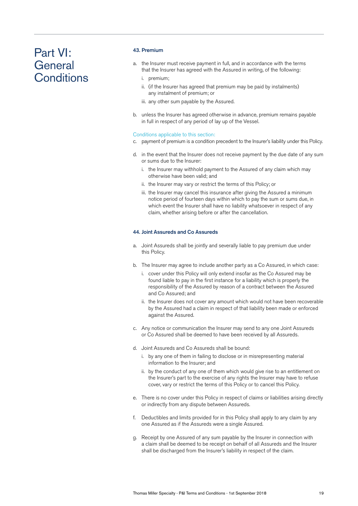# Part VI: **General Conditions**

# 43. Premium

- a. the Insurer must receive payment in full, and in accordance with the terms that the Insurer has agreed with the Assured in writing, of the following:
	- i. premium;
	- ii. (if the Insurer has agreed that premium may be paid by instalments) any instalment of premium; or
	- iii. any other sum payable by the Assured.
- b. unless the Insurer has agreed otherwise in advance, premium remains payable in full in respect of any period of lay up of the Vessel.

### Conditions applicable to this section:

- c. payment of premium is a condition precedent to the Insurer's liability under this Policy.
- d. in the event that the Insurer does not receive payment by the due date of any sum or sums due to the Insurer:
	- i. the Insurer may withhold payment to the Assured of any claim which may otherwise have been valid; and
	- ii. the Insurer may vary or restrict the terms of this Policy; or
	- iii. the Insurer may cancel this insurance after giving the Assured a minimum notice period of fourteen days within which to pay the sum or sums due, in which event the Insurer shall have no liability whatsoever in respect of any claim, whether arising before or after the cancellation.

#### 44. Joint Assureds and Co Assureds

- a. Joint Assureds shall be jointly and severally liable to pay premium due under this Policy.
- b. The Insurer may agree to include another party as a Co Assured, in which case:
	- i. cover under this Policy will only extend insofar as the Co Assured may be found liable to pay in the first instance for a liability which is properly the responsibility of the Assured by reason of a contract between the Assured and Co Assured; and
	- ii. the Insurer does not cover any amount which would not have been recoverable by the Assured had a claim in respect of that liability been made or enforced against the Assured.
- c. Any notice or communication the Insurer may send to any one Joint Assureds or Co Assured shall be deemed to have been received by all Assureds.
- d. Joint Assureds and Co Assureds shall be bound:
	- i. by any one of them in failing to disclose or in misrepresenting material information to the Insurer; and
	- ii. by the conduct of any one of them which would give rise to an entitlement on the Insurer's part to the exercise of any rights the Insurer may have to refuse cover, vary or restrict the terms of this Policy or to cancel this Policy.
- e. There is no cover under this Policy in respect of claims or liabilities arising directly or indirectly from any dispute between Assureds.
- f. Deductibles and limits provided for in this Policy shall apply to any claim by any one Assured as if the Assureds were a single Assured.
- g. Receipt by one Assured of any sum payable by the Insurer in connection with a claim shall be deemed to be receipt on behalf of all Assureds and the Insurer shall be discharged from the Insurer's liability in respect of the claim.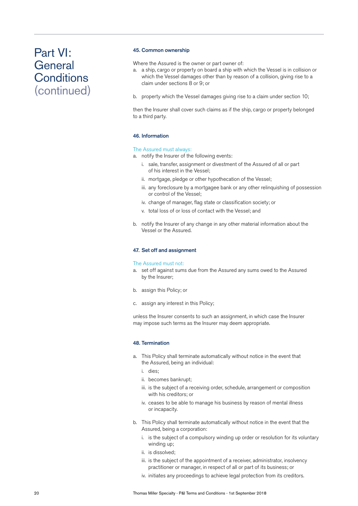# Part VI: **General Conditions** (continued)

#### 45. Common ownership

Where the Assured is the owner or part owner of:

- a. a ship, cargo or property on board a ship with which the Vessel is in collision or which the Vessel damages other than by reason of a collision, giving rise to a claim under sections 8 or 9; or
- b. property which the Vessel damages giving rise to a claim under section 10;

then the Insurer shall cover such claims as if the ship, cargo or property belonged to a third party.

### 46. Information

# The Assured must always:

- a. notify the Insurer of the following events:
	- i. sale, transfer, assignment or divestment of the Assured of all or part of his interest in the Vessel;
	- ii. mortgage, pledge or other hypothecation of the Vessel;
	- iii. any foreclosure by a mortgagee bank or any other relinquishing of possession or control of the Vessel;
	- iv. change of manager, flag state or classification society; or
	- v. total loss of or loss of contact with the Vessel; and
- b. notify the Insurer of any change in any other material information about the Vessel or the Assured.

#### 47. Set off and assignment

#### The Assured must not:

- a. set off against sums due from the Assured any sums owed to the Assured by the Insurer;
- b. assign this Policy; or
- c. assign any interest in this Policy;

unless the Insurer consents to such an assignment, in which case the Insurer may impose such terms as the Insurer may deem appropriate.

#### 48. Termination

- a. This Policy shall terminate automatically without notice in the event that the Assured, being an individual:
	- i. dies;
	- ii. becomes bankrupt;
	- iii. is the subject of a receiving order, schedule, arrangement or composition with his creditors; or
	- iv. ceases to be able to manage his business by reason of mental illness or incapacity.
- b. This Policy shall terminate automatically without notice in the event that the Assured, being a corporation:
	- i. is the subject of a compulsory winding up order or resolution for its voluntary winding up;
	- ii. is dissolved;
	- iii. is the subject of the appointment of a receiver, administrator, insolvency practitioner or manager, in respect of all or part of its business; or
	- iv. initiates any proceedings to achieve legal protection from its creditors.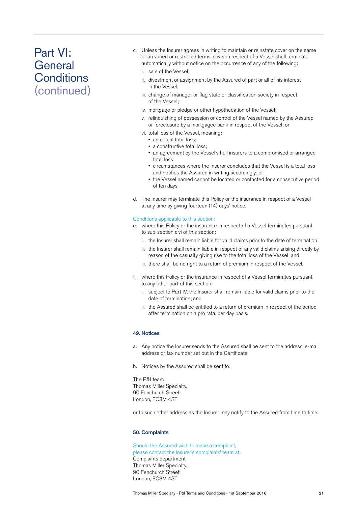# Part VI: **General Conditions** (continued)

- c. Unless the Insurer agrees in writing to maintain or reinstate cover on the same or on varied or restricted terms, cover in respect of a Vessel shall terminate automatically without notice on the occurrence of any of the following:
	- i. sale of the Vessel;
	- ii. divestment or assignment by the Assured of part or all of his interest in the Vessel;
	- iii. change of manager or flag state or classification society in respect of the Vessel;
	- iv. mortgage or pledge or other hypothecation of the Vessel;
	- v. relinquishing of possession or control of the Vessel named by the Assured or foreclosure by a mortgagee bank in respect of the Vessel; or
	- vi. total loss of the Vessel, meaning:
		- an actual total loss;
		- a constructive total loss;
		- an agreement by the Vessel's hull insurers to a compromised or arranged total loss;
		- circumstances where the Insurer concludes that the Vessel is a total loss and notifies the Assured in writing accordingly; or
		- the Vessel named cannot be located or contacted for a consecutive period of ten days.
- d. The Insurer may terminate this Policy or the insurance in respect of a Vessel at any time by giving fourteen (14) days' notice.

#### Conditions applicable to this section:

- e. where this Policy or the insurance in respect of a Vessel terminates pursuant to sub-section c.vi of this section:
	- i. the Insurer shall remain liable for valid claims prior to the date of termination;
	- ii. the Insurer shall remain liable in respect of any valid claims arising directly by reason of the casualty giving rise to the total loss of the Vessel; and
	- iii. there shall be no right to a return of premium in respect of the Vessel.
- f. where this Policy or the insurance in respect of a Vessel terminates pursuant to any other part of this section:
	- i. subject to Part IV, the Insurer shall remain liable for valid claims prior to the date of termination; and
	- ii. the Assured shall be entitled to a return of premium in respect of the period after termination on a pro rata, per day basis.

# 49. Notices

- a. Any notice the Insurer sends to the Assured shall be sent to the address, e-mail address or fax number set out in the Certificate.
- b. Notices by the Assured shall be sent to:

The P&I team Thomas Miller Specialty, 90 Fenchurch Street, London, EC3M 4ST

or to such other address as the Insurer may notify to the Assured from time to time.

#### 50. Complaints

Should the Assured wish to make a complaint, please contact the Insurer's complaints' team at: Complaints department Thomas Miller Specialty, 90 Fenchurch Street, London, EC3M 4ST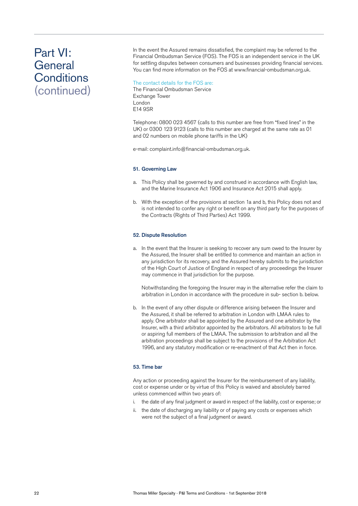# Part VI: **General Conditions** (continued)

In the event the Assured remains dissatisfied, the complaint may be referred to the Financial Ombudsman Service (FOS). The FOS is an independent service in the UK for settling disputes between consumers and businesses providing financial services. You can find more information on the FOS at www.financial-ombudsman.org.uk.

# The contact details for the FOS are:

The Financial Ombudsman Service Exchange Tower London E14 9SR

Telephone: 0800 023 4567 (calls to this number are free from "fixed lines" in the UK) or 0300 123 9123 (calls to this number are charged at the same rate as 01 and 02 numbers on mobile phone tariffs in the UK)

e-mail: complaint.info@financial-ombudsman.org.uk.

### 51. Governing Law

- a. This Policy shall be governed by and construed in accordance with English law, and the Marine Insurance Act 1906 and Insurance Act 2015 shall apply.
- b. With the exception of the provisions at section 1a and b, this Policy does not and is not intended to confer any right or benefit on any third party for the purposes of the Contracts (Rights of Third Parties) Act 1999.

# 52. Dispute Resolution

a. In the event that the Insurer is seeking to recover any sum owed to the Insurer by the Assured, the Insurer shall be entitled to commence and maintain an action in any jurisdiction for its recovery, and the Assured hereby submits to the jurisdiction of the High Court of Justice of England in respect of any proceedings the Insurer may commence in that jurisdiction for the purpose.

 Notwithstanding the foregoing the Insurer may in the alternative refer the claim to arbitration in London in accordance with the procedure in sub- section b. below.

b. In the event of any other dispute or difference arising between the Insurer and the Assured, it shall be referred to arbitration in London with LMAA rules to apply. One arbitrator shall be appointed by the Assured and one arbitrator by the Insurer, with a third arbitrator appointed by the arbitrators. All arbitrators to be full or aspiring full members of the LMAA. The submission to arbitration and all the arbitration proceedings shall be subject to the provisions of the Arbitration Act 1996, and any statutory modification or re-enactment of that Act then in force.

### 53. Time bar

Any action or proceeding against the Insurer for the reimbursement of any liability, cost or expense under or by virtue of this Policy is waived and absolutely barred unless commenced within two years of:

- i. the date of any final judgment or award in respect of the liability, cost or expense; or
- ii. the date of discharging any liability or of paying any costs or expenses which were not the subject of a final judgment or award.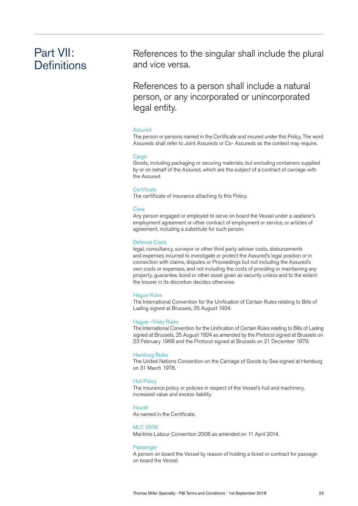# Part VII: **Definitions**

References to the singular shall include the plural and vice versa.

References to a person shall include a natural person, or any incorporated or unincorporated legal entity.

#### Assured

The person or persons named in the Certificate and insured under this Policy. The word Assureds shall refer to Joint Assureds or Co- Assureds as the context may require.

#### Cargo

Goods, including packaging or securing materials, but excluding containers supplied by or on behalf of the Assured, which are the subject of a contract of carriage with the Assured.

#### **Certificate**

The certificate of insurance attaching to this Policy.

#### **Crew**

Any person engaged or employed to serve on board the Vessel under a seafarer's employment agreement or other contract of employment or service, or articles of agreement, including a substitute for such person.

#### Defence Costs

legal, consultancy, surveyor or other third party adviser costs, disbursements and expenses incurred to investigate or protect the Assured's legal position or in connection with claims, disputes or Proceedings but not including the Assured's own costs or expenses, and not including the costs of providing or maintaining any property, guarantee, bond or other asset given as security unless and to the extent the Insurer in its discretion decides otherwise.

#### Hague Rules

The International Convention for the Unification of Certain Rules relating to Bills of Lading signed at Brussels, 25 August 1924.

#### Hague –Visby Rules

The International Convention for the Unification of Certain Rules relating to Bills of Lading signed at Brussels, 25 August 1924 as amended by the Protocol signed at Brussels on 23 February 1968 and the Protocol signed at Brussels on 21 December 1979.

#### Hamburg Rules

The United Nations Convention on the Carriage of Goods by Sea signed at Hamburg on 31 March 1978.

### Hull Policy

The insurance policy or policies in respect of the Vessel's hull and machinery, increased value and excess liability.

#### Insurer

As named in the Certificate.

#### MLC 2006

Maritime Labour Convention 2006 as amended on 11 April 2014.

#### Passenger

A person on board the Vessel by reason of holding a ticket or contract for passage on board the Vessel.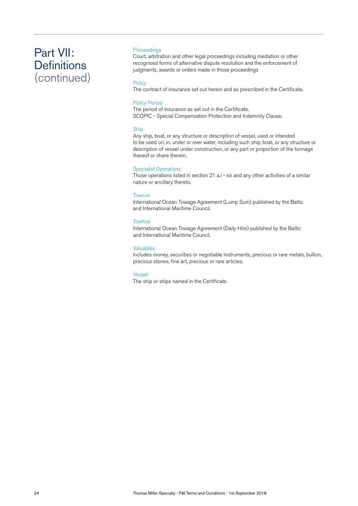# Part VII: **Definitions** (continued)

# Proceedings

Court, arbitration and other legal proceedings including mediation or other recognised forms of alternative dispute resolution and the enforcement of judgments, awards or orders made in those proceedings

# **Policy**

The contract of insurance set out herein and as prescribed in the Certificate.

#### Policy Period

The period of insurance as set out in the Certificate. SCOPIC - Special Compensation Protection and Indemnity Clause.

# Ship

Any ship, boat, or any structure or description of vessel, used or intended to be used on, in, under or over water, including such ship, boat, or any structure or description of vessel under construction, or any part or proportion of the tonnage thereof or share therein.

### Specialist Operations

Those operations listed in section 21 a.i - xiii and any other activities of a similar nature or ancillary thereto.

#### **Towcon**

International Ocean Towage Agreement (Lump Sum) published by the Baltic and International Maritime Council.

### **Towhire**

International Ocean Towage Agreement (Daily Hire) published by the Baltic and International Maritime Council.

#### Valuables

Includes money, securities or negotiable instruments, precious or rare metals, bullion, precious stones, fine art, precious or rare articles.

#### Vessel

The ship or ships named in the Certificate.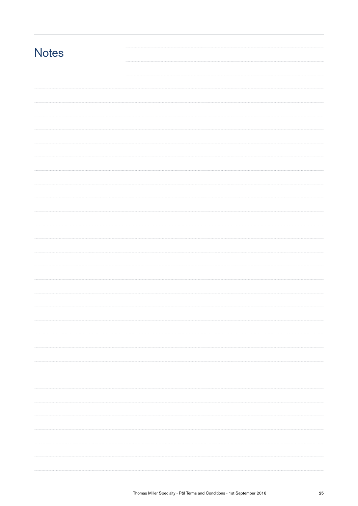| <b>Notes</b> |  |  |
|--------------|--|--|
|              |  |  |
|              |  |  |
|              |  |  |
|              |  |  |
|              |  |  |
|              |  |  |
|              |  |  |
|              |  |  |
|              |  |  |
|              |  |  |
|              |  |  |
|              |  |  |
|              |  |  |
|              |  |  |
|              |  |  |
|              |  |  |
|              |  |  |
|              |  |  |
|              |  |  |
|              |  |  |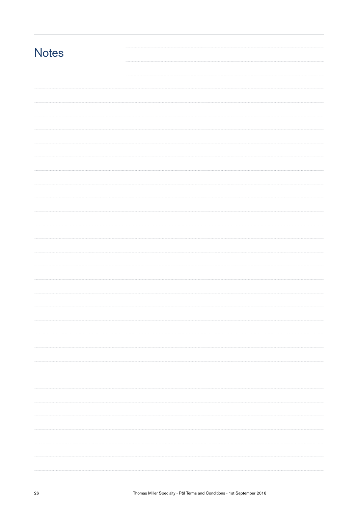| <b>Notes</b> |  |  |
|--------------|--|--|
|              |  |  |
|              |  |  |
|              |  |  |
|              |  |  |
|              |  |  |
|              |  |  |
|              |  |  |
|              |  |  |
|              |  |  |
|              |  |  |
|              |  |  |
|              |  |  |
|              |  |  |
|              |  |  |
|              |  |  |
|              |  |  |
|              |  |  |
|              |  |  |
|              |  |  |
|              |  |  |
|              |  |  |
|              |  |  |
|              |  |  |
|              |  |  |